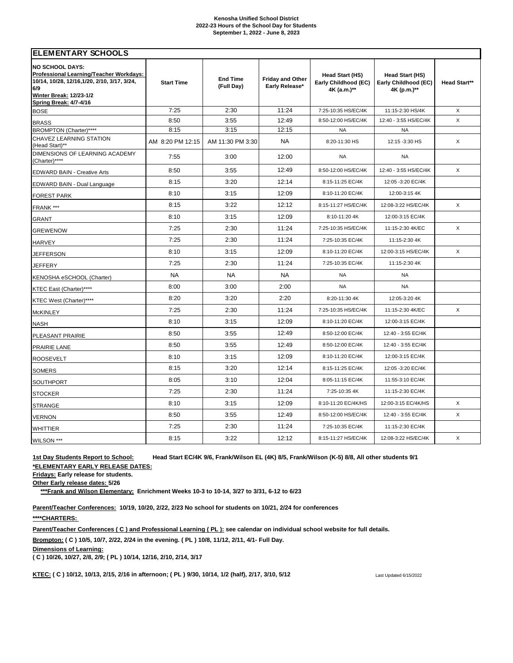### **Kenosha Unified School District 2022-23 Hours of the School Day for Students September 1, 2022 - June 8, 2023**

| <b>ELEMENTARY SCHOOLS</b>                                                                                                                                                            |                   |                               |                                           |                                                        |                                                        |              |  |  |
|--------------------------------------------------------------------------------------------------------------------------------------------------------------------------------------|-------------------|-------------------------------|-------------------------------------------|--------------------------------------------------------|--------------------------------------------------------|--------------|--|--|
| <b>NO SCHOOL DAYS:</b><br>Professional Learning/Teacher Workdays:<br>10/14, 10/28, 12/16, 1/20, 2/10, 3/17, 3/24,<br>6/9<br>Winter Break: 12/23-1/2<br><b>Spring Break: 4/7-4/16</b> | <b>Start Time</b> | <b>End Time</b><br>(Full Day) | <b>Friday and Other</b><br>Early Release* | Head Start (HS)<br>Early Childhood (EC)<br>4K (a.m.)** | Head Start (HS)<br>Early Childhood (EC)<br>4K (p.m.)** | Head Start** |  |  |
| <b>BOSE</b>                                                                                                                                                                          | 7:25              | 2:30                          | 11:24                                     | 7:25-10:35 HS/EC/4K                                    | 11:15-2:30 HS/4K                                       | X            |  |  |
| <b>BRASS</b>                                                                                                                                                                         | 8:50              | 3:55                          | 12:49                                     | 8:50-12:00 HS/EC/4K                                    | 12:40 - 3:55 HS/EC/4K                                  | X            |  |  |
| BROMPTON (Charter)****                                                                                                                                                               | 8:15              | 3:15                          | 12:15                                     | <b>NA</b>                                              | <b>NA</b>                                              |              |  |  |
| CHAVEZ LEARNING STATION<br>(Head Start)**                                                                                                                                            | AM 8:20 PM 12:15  | AM 11:30 PM 3:30              | <b>NA</b>                                 | 8:20-11:30 HS                                          | 12:15 -3:30 HS                                         | X            |  |  |
| DIMENSIONS OF LEARNING ACADEMY<br>(Charter)****                                                                                                                                      | 7:55              | 3:00                          | 12:00                                     | <b>NA</b>                                              | <b>NA</b>                                              |              |  |  |
| <b>EDWARD BAIN - Creative Arts</b>                                                                                                                                                   | 8:50              | 3:55                          | 12:49                                     | 8:50-12:00 HS/EC/4K                                    | 12:40 - 3:55 HS/EC/4K                                  | X            |  |  |
| EDWARD BAIN - Dual Language                                                                                                                                                          | 8:15              | 3:20                          | 12:14                                     | 8:15-11:25 EC/4K                                       | 12:05 -3:20 EC/4K                                      |              |  |  |
| <b>FOREST PARK</b>                                                                                                                                                                   | 8:10              | 3:15                          | 12:09                                     | 8:10-11:20 EC/4K                                       | 12:00-3:15 4K                                          |              |  |  |
| FRANK ***                                                                                                                                                                            | 8:15              | 3:22                          | 12:12                                     | 8:15-11:27 HS/EC/4K                                    | 12:08-3:22 HS/EC/4K                                    | X            |  |  |
| <b>GRANT</b>                                                                                                                                                                         | 8:10              | 3:15                          | 12:09                                     | 8:10-11:20 4K                                          | 12:00-3:15 EC/4K                                       |              |  |  |
| <b>GREWENOW</b>                                                                                                                                                                      | 7:25              | 2:30                          | 11:24                                     | 7:25-10:35 HS/EC/4K                                    | 11:15-2:30 4K/EC                                       | X            |  |  |
| <b>HARVEY</b>                                                                                                                                                                        | 7:25              | 2:30                          | 11:24                                     | 7:25-10:35 EC/4K                                       | 11:15-2:30 4K                                          |              |  |  |
| <b>JEFFERSON</b>                                                                                                                                                                     | 8:10              | 3:15                          | 12:09                                     | 8:10-11:20 EC/4K                                       | 12:00-3:15 HS/EC/4K                                    | X            |  |  |
| JEFFERY                                                                                                                                                                              | 7:25              | 2:30                          | 11:24                                     | 7:25-10:35 EC/4K                                       | 11:15-2:30 4K                                          |              |  |  |
| KENOSHA eSCHOOL (Charter)                                                                                                                                                            | <b>NA</b>         | <b>NA</b>                     | <b>NA</b>                                 | <b>NA</b>                                              | <b>NA</b>                                              |              |  |  |
| KTEC East (Charter)****                                                                                                                                                              | 8:00              | 3:00                          | 2:00                                      | <b>NA</b>                                              | <b>NA</b>                                              |              |  |  |
| KTEC West (Charter)****                                                                                                                                                              | 8:20              | 3:20                          | 2:20                                      | 8:20-11:30 4K                                          | 12:05-3:20 4K                                          |              |  |  |
| <b>McKINLEY</b>                                                                                                                                                                      | 7:25              | 2:30                          | 11:24                                     | 7:25-10:35 HS/EC/4K                                    | 11:15-2:30 4K/EC                                       | X            |  |  |
| <b>NASH</b>                                                                                                                                                                          | 8:10              | 3:15                          | 12:09                                     | 8:10-11:20 EC/4K                                       | 12:00-3:15 EC/4K                                       |              |  |  |
| PLEASANT PRAIRIE                                                                                                                                                                     | 8:50              | 3:55                          | 12:49                                     | 8:50-12:00 EC/4K                                       | 12:40 - 3:55 EC/4K                                     |              |  |  |
| PRAIRIE LANE                                                                                                                                                                         | 8:50              | 3:55                          | 12:49                                     | 8:50-12:00 EC/4K                                       | 12:40 - 3:55 EC/4K                                     |              |  |  |
| <b>ROOSEVELT</b>                                                                                                                                                                     | 8:10              | 3:15                          | 12:09                                     | 8:10-11:20 EC/4K                                       | 12:00-3:15 EC/4K                                       |              |  |  |
| <b>SOMERS</b>                                                                                                                                                                        | 8:15              | 3:20                          | 12:14                                     | 8:15-11:25 EC/4K                                       | 12:05 -3:20 EC/4K                                      |              |  |  |
| SOUTHPORT                                                                                                                                                                            | 8:05              | 3:10                          | 12:04                                     | 8:05-11:15 EC/4K                                       | 11:55-3:10 EC/4K                                       |              |  |  |
| <b>STOCKER</b>                                                                                                                                                                       | 7:25              | 2:30                          | 11:24                                     | 7:25-10:35 4K                                          | 11:15-2:30 EC/4K                                       |              |  |  |
| <b>STRANGE</b>                                                                                                                                                                       | 8:10              | 3:15                          | 12:09                                     | 8:10-11:20 EC/4K/HS                                    | 12:00-3:15 EC/4K/HS                                    | X            |  |  |
| <b>VERNON</b>                                                                                                                                                                        | 8:50              | 3:55                          | 12:49                                     | 8:50-12:00 HS/EC/4K                                    | 12:40 - 3:55 EC/4K                                     | X            |  |  |
| <b>WHITTIER</b>                                                                                                                                                                      | 7:25              | 2:30                          | 11:24                                     | 7:25-10:35 EC/4K                                       | 11:15-2:30 EC/4K                                       |              |  |  |
| WILSON ***                                                                                                                                                                           | 8:15              | 3:22                          | 12:12                                     | 8:15-11:27 HS/EC/4K                                    | 12:08-3:22 HS/EC/4K                                    | X            |  |  |

# **1st Day Students Report to School: Head Start EC/4K 9/6, Frank/Wilson EL (4K) 8/5, Frank/Wilson (K-5) 8/8, All other students 9/1 \*ELEMENTARY EARLY RELEASE DATES:**

**Fridays: Early release for students.**

**Other Early release dates: 5/26**

**\*\*\*Frank and Wilson Elementary: Enrichment Weeks 10-3 to 10-14, 3/27 to 3/31, 6-12 to 6/23**

**Parent/Teacher Conferences: 10/19, 10/20, 2/22, 2/23 No school for students on 10/21, 2/24 for conferences \*\*\*\*CHARTERS:** 

**Parent/Teacher Conferences ( C ) and Professional Learning ( PL ): see calendar on individual school website for full details.**

**Brompton: ( C ) 10/5, 10/7, 2/22, 2/24 in the evening. ( PL ) 10/8, 11/12, 2/11, 4/1- Full Day.**

**Dimensions of Learning:**

**( C ) 10/26, 10/27, 2/8, 2/9; ( PL ) 10/14, 12/16, 2/10, 2/14, 3/17** 

**KTEC: ( C ) 10/12, 10/13, 2/15, 2/16 in afternoon; ( PL ) 9/30, 10/14, 1/2 (half), 2/17, 3/10, 5/12** Last Updated 6/15/2022